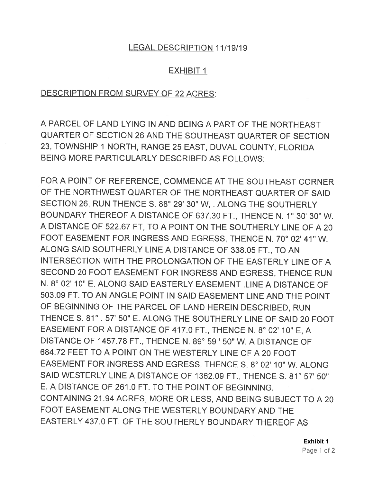## LEGAL DESCRIPTION 11/19/19

## EXHIBIT 1

## DESCRIPTION FROM SURVEY OF 22 ACRES:

A PARCEL OF LAND LYING IN AND BEING A PART OF THE NORTHEAST QUARTER OF SECTION 26 AND THE SOUTHEAST QUARTER OF SECTION 23, TOWNSHIP 1 NORTH, RANGE 25 EAST, DUVAL COUNTY, FLORIDA BEING MORE PARTICULARLY DESCRIBED AS FOLLOWS:

FOR A POINT OF REFERENCE, COMMENCE AT THE SOUTHEAST CORNER OF THE NORTHWEST QUARTER OF THE NORTHEAST QUARTER OF SAID SECTION 26, RUN THENCE S. 88° 29' 30" W, . ALONG THE SOUTHERLY BOUNDARY THEREOF A DISTANCE OF 637.30 FT., THENCE N. 1° 30' 30" W. A DISTANCE OF 522.67 FT, TO A POINT ON THE SOUTHERLY LINE OF A 20 FOOT EASEMENT FOR INGRESS AND EGRESS, THENCE N. 70° 02' 41" W. ALONG SAID SOUTHERLY LINE A DISTANCE OF 338.05 FT., TO AN INTERSECTION WITH THE PROLONGATION OF THE EASTERLY LINE OF A SECOND 20 FOOT EASEMENT FOR INGRESS AND EGRESS, THENCE RUN N. 8° 02' 10" E. ALONG SAID EASTERLY EASEMENT .LINE A DISTANCE OF 503.09 FT. TO AN ANGLE POINT IN SAID EASEMENT LINE AND THE POINT OF BEGINNING OF THE PARCEL OF LAND HEREIN DESCRIBED, RUN THENCE S. 81° . 57' 50" E. ALONG THE SOUTHERLY LINE OF SAID 20 FOOT EASEMENT FOR A DISTANCE OF 417.0 FT., THENCE N. 8° 02' 10" E, A DISTANCE OF 1457.78 FT., THENCE N. 89° 59 ' 50" W. A DISTANCE OF 684.72 FEET TO A POINT ON THE WESTERLY LINE OF A 20 FOOT EASEMENT FOR INGRESS AND EGRESS, THENCE S. 8° 02' 10" W. ALONG SAID WESTERLY LINE A DISTANCE OF 1362.09 FT., THENCE S. 81° 57' 50" E. A DISTANCE OF 261.0 FT. TO THE POINT OF BEGINNING. CONTAINING 21.94 ACRES, MORE OR LESS, AND BEING SUBJECT TO A 20 FOOT EASEMENT ALONG THE WESTERLY BOUNDARY AND THE EASTERLY 437.0 FT. OF THE SOUTHERLY BOUNDARY THEREOF AS